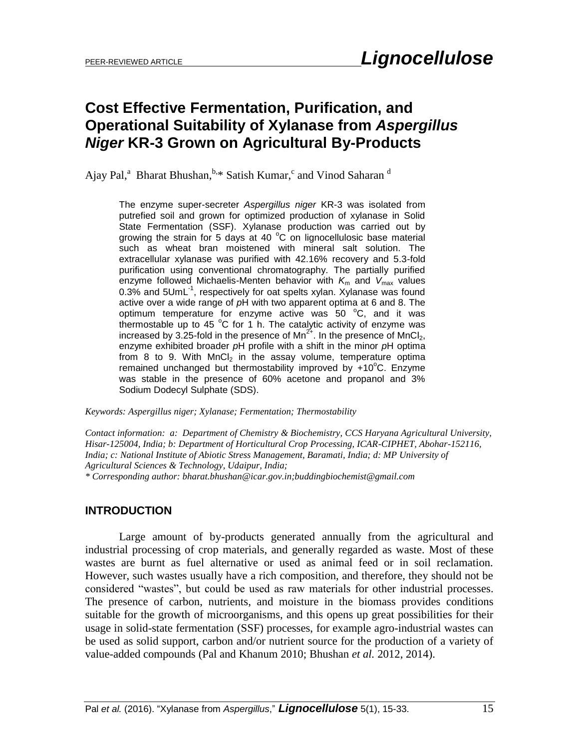# **Cost Effective Fermentation, Purification, and Operational Suitability of Xylanase from** *Aspergillus Niger* **KR-3 Grown on Agricultural By-Products**

Ajay Pal,<sup>a</sup> Bharat Bhushan, **b.\*** Satish Kumar, <sup>c</sup> and Vinod Saharan <sup>d</sup>

The enzyme super-secreter *Aspergillus niger* KR-3 was isolated from putrefied soil and grown for optimized production of xylanase in Solid State Fermentation (SSF). Xylanase production was carried out by growing the strain for 5 days at 40  $^{\circ}$ C on lignocellulosic base material such as wheat bran moistened with mineral salt solution. The extracellular xylanase was purified with 42.16% recovery and 5.3-fold purification using conventional chromatography. The partially purified enzyme followed Michaelis-Menten behavior with  $K_m$  and  $V_{max}$  values 0.3% and 5UmL<sup>-1</sup>, respectively for oat spelts xylan. Xylanase was found active over a wide range of *p*H with two apparent optima at 6 and 8. The optimum temperature for enzyme active was  $50\degree$ C, and it was thermostable up to 45 °C for 1 h. The catalytic activity of enzyme was increased by 3.25-fold in the presence of  $Mn^{2+}$ . In the presence of  $MnCl<sub>2</sub>$ , enzyme exhibited broader *p*H profile with a shift in the minor *p*H optima from 8 to 9. With  $MnCl<sub>2</sub>$  in the assay volume, temperature optima remained unchanged but thermostability improved by  $+10^{\circ}$ C. Enzyme was stable in the presence of 60% acetone and propanol and 3% Sodium Dodecyl Sulphate (SDS).

*Keywords: Aspergillus niger; Xylanase; Fermentation; Thermostability*

*Contact information: a: Department of Chemistry & Biochemistry, CCS Haryana Agricultural University, Hisar-125004, India; b: Department of Horticultural Crop Processing, ICAR-CIPHET, Abohar-152116, India; c: National Institute of Abiotic Stress Management, Baramati, India; d: MP University of Agricultural Sciences & Technology, Udaipur, India;* 

*\* Corresponding author: bharat.bhushan@icar.gov.in;buddingbiochemist@gmail.com*

# **INTRODUCTION**

Large amount of by-products generated annually from the agricultural and industrial processing of crop materials, and generally regarded as waste. Most of these wastes are burnt as fuel alternative or used as animal feed or in soil reclamation. However, such wastes usually have a rich composition, and therefore, they should not be considered "wastes", but could be used as raw materials for other industrial processes. The presence of carbon, nutrients, and moisture in the biomass provides conditions suitable for the growth of microorganisms, and this opens up great possibilities for their usage in solid-state fermentation (SSF) processes, for example agro-industrial wastes can be used as solid support, carbon and/or nutrient source for the production of a variety of value-added compounds (Pal and Khanum 2010; Bhushan *et al.* 2012, 2014).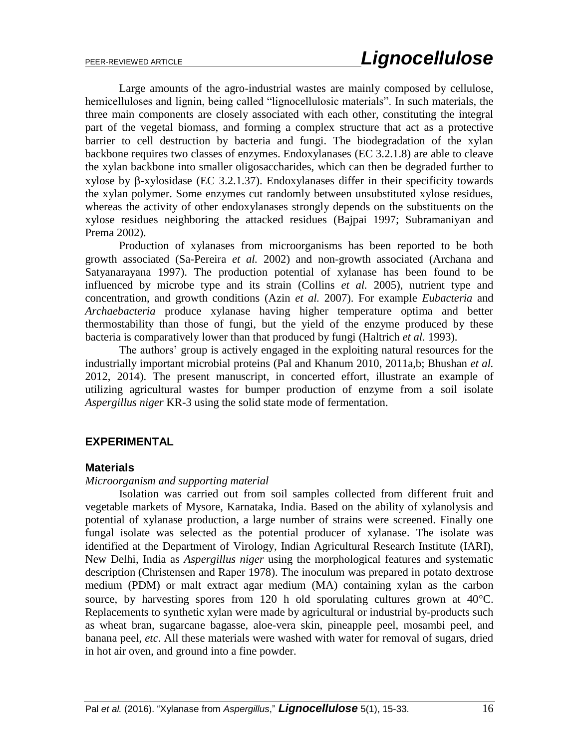Large amounts of the agro-industrial wastes are mainly composed by cellulose, hemicelluloses and lignin, being called "lignocellulosic materials". In such materials, the three main components are closely associated with each other, constituting the integral part of the vegetal biomass, and forming a complex structure that act as a protective barrier to cell destruction by bacteria and fungi. The biodegradation of the xylan backbone requires two classes of enzymes. Endoxylanases (EC 3.2.1.8) are able to cleave the xylan backbone into smaller oligosaccharides, which can then be degraded further to  $xy$ lose by  $\beta$ -xylosidase (EC 3.2.1.37). Endoxylanases differ in their specificity towards the xylan polymer. Some enzymes cut randomly between unsubstituted xylose residues, whereas the activity of other endoxylanases strongly depends on the substituents on the xylose residues neighboring the attacked residues (Bajpai 1997; Subramaniyan and Prema 2002).

Production of xylanases from microorganisms has been reported to be both growth associated (Sa-Pereira *et al.* 2002) and non-growth associated (Archana and Satyanarayana 1997). The production potential of xylanase has been found to be influenced by microbe type and its strain (Collins *et al.* 2005), nutrient type and concentration, and growth conditions (Azin *et al.* 2007). For example *Eubacteria* and *Archaebacteria* produce xylanase having higher temperature optima and better thermostability than those of fungi, but the yield of the enzyme produced by these bacteria is comparatively lower than that produced by fungi (Haltrich *et al.* 1993).

The authors" group is actively engaged in the exploiting natural resources for the industrially important microbial proteins (Pal and Khanum 2010, 2011a,b; Bhushan *et al.* 2012, 2014). The present manuscript, in concerted effort, illustrate an example of utilizing agricultural wastes for bumper production of enzyme from a soil isolate *Aspergillus niger* KR-3 using the solid state mode of fermentation.

# **EXPERIMENTAL**

# **Materials**

## *Microorganism and supporting material*

Isolation was carried out from soil samples collected from different fruit and vegetable markets of Mysore, Karnataka, India. Based on the ability of xylanolysis and potential of xylanase production, a large number of strains were screened. Finally one fungal isolate was selected as the potential producer of xylanase. The isolate was identified at the Department of Virology, Indian Agricultural Research Institute (IARI), New Delhi, India as *Aspergillus niger* using the morphological features and systematic description (Christensen and Raper 1978). The inoculum was prepared in potato dextrose medium (PDM) or malt extract agar medium (MA) containing xylan as the carbon source, by harvesting spores from 120 h old sporulating cultures grown at  $40^{\circ}$ C. Replacements to synthetic xylan were made by agricultural or industrial by-products such as wheat bran, sugarcane bagasse, aloe-vera skin, pineapple peel, mosambi peel, and banana peel, *etc*. All these materials were washed with water for removal of sugars, dried in hot air oven, and ground into a fine powder.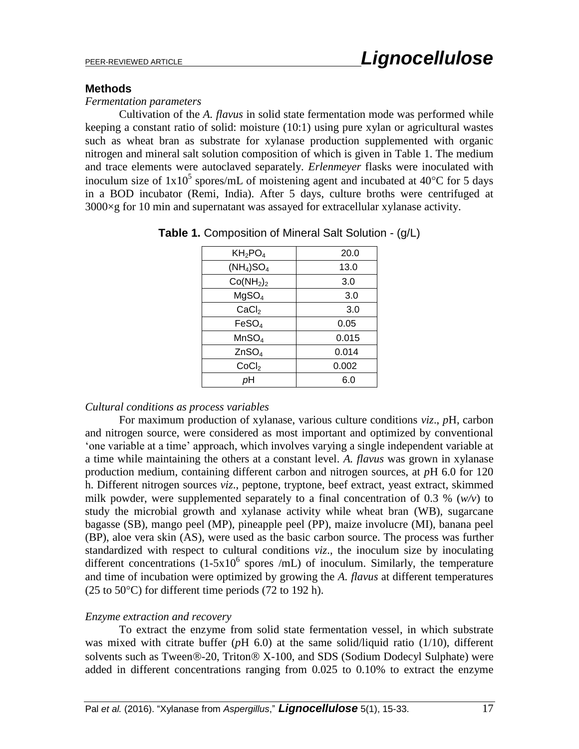# **Methods**

## *Fermentation parameters*

Cultivation of the *A. flavus* in solid state fermentation mode was performed while keeping a constant ratio of solid: moisture (10:1) using pure xylan or agricultural wastes such as wheat bran as substrate for xylanase production supplemented with organic nitrogen and mineral salt solution composition of which is given in Table 1. The medium and trace elements were autoclaved separately. *Erlenmeyer* flasks were inoculated with inoculum size of  $1x10^5$  spores/mL of moistening agent and incubated at 40 °C for 5 days in a BOD incubator (Remi, India). After 5 days, culture broths were centrifuged at 3000×g for 10 min and supernatant was assayed for extracellular xylanase activity.

| $KH_2PO_4$                        | 20.0  |
|-----------------------------------|-------|
| $(NH_4)SO_4$                      | 13.0  |
| Co(NH <sub>2</sub> ) <sub>2</sub> | 3.0   |
| MgSO <sub>4</sub>                 | 3.0   |
| CaCl <sub>2</sub>                 | 3.0   |
| FeSO <sub>4</sub>                 | 0.05  |
| MnSO <sub>4</sub>                 | 0.015 |
| ZnSO <sub>4</sub>                 | 0.014 |
| CoCl <sub>2</sub>                 | 0.002 |
| pН                                | 6.0   |

|  |  |  | Table 1. Composition of Mineral Salt Solution - (g/L) |  |
|--|--|--|-------------------------------------------------------|--|
|--|--|--|-------------------------------------------------------|--|

# *Cultural conditions as process variables*

For maximum production of xylanase, various culture conditions *viz*., *p*H, carbon and nitrogen source, were considered as most important and optimized by conventional "one variable at a time" approach, which involves varying a single independent variable at a time while maintaining the others at a constant level. *A. flavus* was grown in xylanase production medium, containing different carbon and nitrogen sources, at *p*H 6.0 for 120 h. Different nitrogen sources *viz*., peptone, tryptone, beef extract, yeast extract, skimmed milk powder, were supplemented separately to a final concentration of 0.3 % (*w/v*) to study the microbial growth and xylanase activity while wheat bran (WB), sugarcane bagasse (SB), mango peel (MP), pineapple peel (PP), maize involucre (MI), banana peel (BP), aloe vera skin (AS), were used as the basic carbon source. The process was further standardized with respect to cultural conditions *viz*., the inoculum size by inoculating different concentrations  $(1-5x10^6$  spores /mL) of inoculum. Similarly, the temperature and time of incubation were optimized by growing the *A. flavus* at different temperatures  $(25 \text{ to } 50^{\circ}\text{C})$  for different time periods  $(72 \text{ to } 192 \text{ h})$ .

# *Enzyme extraction and recovery*

To extract the enzyme from solid state fermentation vessel, in which substrate was mixed with citrate buffer (*p*H 6.0) at the same solid/liquid ratio (1/10), different solvents such as Tween $\mathcal{D}$ -20, Triton $\mathcal{D}$  X-100, and SDS (Sodium Dodecyl Sulphate) were added in different concentrations ranging from 0.025 to 0.10% to extract the enzyme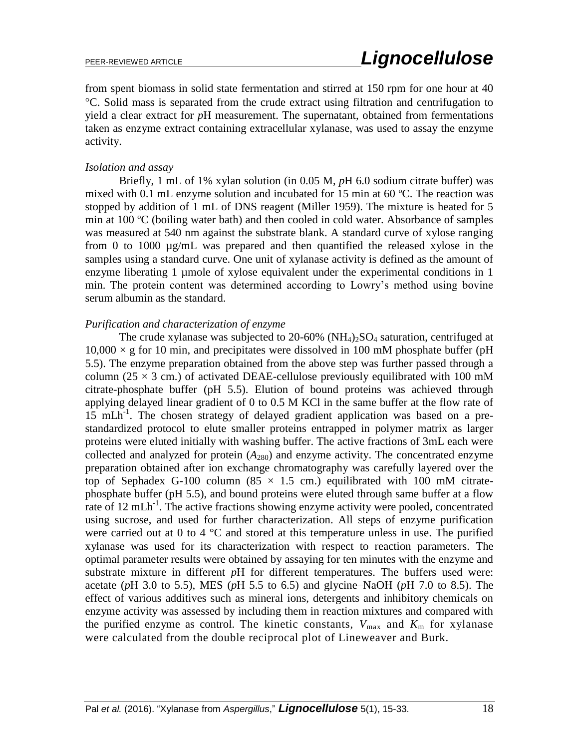from spent biomass in solid state fermentation and stirred at 150 rpm for one hour at 40 C. Solid mass is separated from the crude extract using filtration and centrifugation to yield a clear extract for *p*H measurement. The supernatant, obtained from fermentations taken as enzyme extract containing extracellular xylanase, was used to assay the enzyme activity.

## *Isolation and assay*

Briefly, 1 mL of 1% xylan solution (in 0.05 M, *p*H 6.0 sodium citrate buffer) was mixed with 0.1 mL enzyme solution and incubated for 15 min at 60 ºC. The reaction was stopped by addition of 1 mL of DNS reagent (Miller 1959). The mixture is heated for 5 min at 100 ºC (boiling water bath) and then cooled in cold water. Absorbance of samples was measured at 540 nm against the substrate blank. A standard curve of xylose ranging from 0 to 1000 µg/mL was prepared and then quantified the released xylose in the samples using a standard curve. One unit of xylanase activity is defined as the amount of enzyme liberating 1 umole of xylose equivalent under the experimental conditions in 1 min. The protein content was determined according to Lowry"s method using bovine serum albumin as the standard.

## *Purification and characterization of enzyme*

The crude xylanase was subjected to 20-60% (NH<sub>4</sub>)<sub>2</sub>SO<sub>4</sub> saturation, centrifuged at  $10,000 \times$  g for 10 min, and precipitates were dissolved in 100 mM phosphate buffer (pH 5.5). The enzyme preparation obtained from the above step was further passed through a column ( $25 \times 3$  cm.) of activated DEAE-cellulose previously equilibrated with 100 mM citrate-phosphate buffer (pH 5.5). Elution of bound proteins was achieved through applying delayed linear gradient of 0 to 0.5 M KCl in the same buffer at the flow rate of 15 mLh<sup>-1</sup>. The chosen strategy of delayed gradient application was based on a prestandardized protocol to elute smaller proteins entrapped in polymer matrix as larger proteins were eluted initially with washing buffer. The active fractions of 3mL each were collected and analyzed for protein  $(A_{280})$  and enzyme activity. The concentrated enzyme preparation obtained after ion exchange chromatography was carefully layered over the top of Sephadex G-100 column (85  $\times$  1.5 cm.) equilibrated with 100 mM citratephosphate buffer (pH 5.5), and bound proteins were eluted through same buffer at a flow rate of 12 mLh<sup>-1</sup>. The active fractions showing enzyme activity were pooled, concentrated using sucrose, and used for further characterization. All steps of enzyme purification were carried out at 0 to 4  $^{\circ}$ C and stored at this temperature unless in use. The purified xylanase was used for its characterization with respect to reaction parameters. The optimal parameter results were obtained by assaying for ten minutes with the enzyme and substrate mixture in different *p*H for different temperatures. The buffers used were: acetate (*p*H 3.0 to 5.5), MES (*p*H 5.5 to 6.5) and glycine–NaOH (*p*H 7.0 to 8.5). The effect of various additives such as mineral ions, detergents and inhibitory chemicals on enzyme activity was assessed by including them in reaction mixtures and compared with the purified enzyme as control. The kinetic constants,  $V_{\text{max}}$  and  $K_{\text{m}}$  for xylanase were calculated from the double reciprocal plot of Lineweaver and Burk.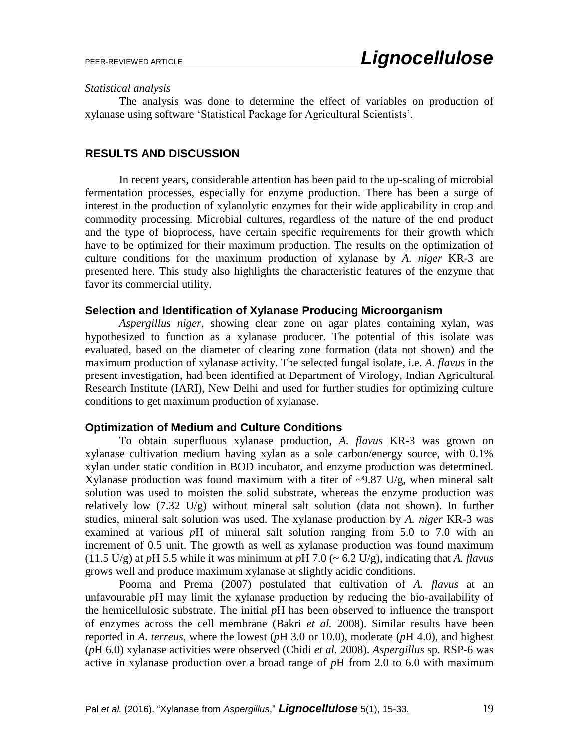#### *Statistical analysis*

The analysis was done to determine the effect of variables on production of xylanase using software "Statistical Package for Agricultural Scientists".

# **RESULTS AND DISCUSSION**

In recent years, considerable attention has been paid to the up-scaling of microbial fermentation processes, especially for enzyme production. There has been a surge of interest in the production of xylanolytic enzymes for their wide applicability in crop and commodity processing. Microbial cultures, regardless of the nature of the end product and the type of bioprocess, have certain specific requirements for their growth which have to be optimized for their maximum production. The results on the optimization of culture conditions for the maximum production of xylanase by *A. niger* KR-3 are presented here. This study also highlights the characteristic features of the enzyme that favor its commercial utility.

# **Selection and Identification of Xylanase Producing Microorganism**

*Aspergillus niger*, showing clear zone on agar plates containing xylan, was hypothesized to function as a xylanase producer. The potential of this isolate was evaluated, based on the diameter of clearing zone formation (data not shown) and the maximum production of xylanase activity. The selected fungal isolate, i.e. *A. flavus* in the present investigation, had been identified at Department of Virology, Indian Agricultural Research Institute (IARI), New Delhi and used for further studies for optimizing culture conditions to get maximum production of xylanase.

# **Optimization of Medium and Culture Conditions**

To obtain superfluous xylanase production, *A. flavus* KR-3 was grown on xylanase cultivation medium having xylan as a sole carbon/energy source, with 0.1% xylan under static condition in BOD incubator, and enzyme production was determined. Xylanase production was found maximum with a titer of  $\sim$ 9.87 U/g, when mineral salt solution was used to moisten the solid substrate, whereas the enzyme production was relatively low (7.32 U/g) without mineral salt solution (data not shown). In further studies, mineral salt solution was used. The xylanase production by *A. niger* KR-3 was examined at various *pH* of mineral salt solution ranging from 5.0 to 7.0 with an increment of 0.5 unit. The growth as well as xylanase production was found maximum (11.5 U/g) at *p*H 5.5 while it was minimum at *p*H 7.0 (~ 6.2 U/g), indicating that *A. flavus* grows well and produce maximum xylanase at slightly acidic conditions.

Poorna and Prema (2007) postulated that cultivation of *A. flavus* at an unfavourable *p*H may limit the xylanase production by reducing the bio-availability of the hemicellulosic substrate. The initial *p*H has been observed to influence the transport of enzymes across the cell membrane (Bakri *et al.* 2008). Similar results have been reported in *A. terreus*, where the lowest (*p*H 3.0 or 10.0), moderate (*p*H 4.0), and highest (*p*H 6.0) xylanase activities were observed (Chidi *et al.* 2008). *Aspergillus* sp. RSP-6 was active in xylanase production over a broad range of *p*H from 2.0 to 6.0 with maximum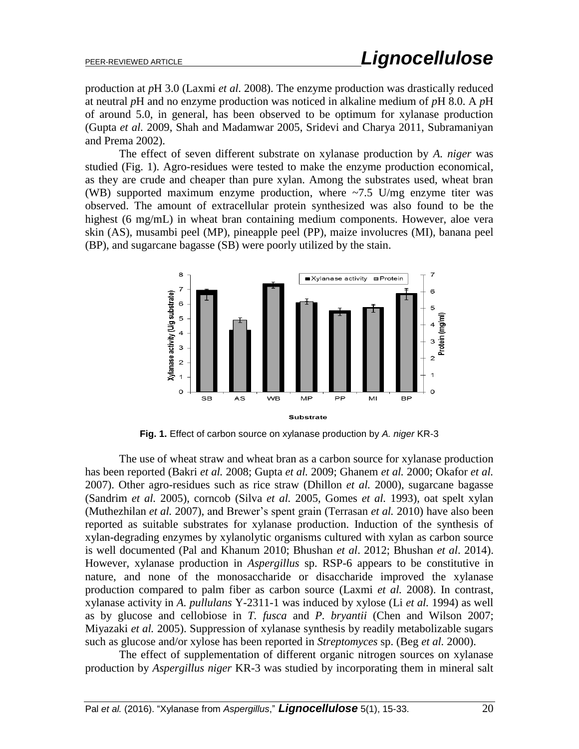production at *p*H 3.0 (Laxmi *et al.* 2008). The enzyme production was drastically reduced at neutral *p*H and no enzyme production was noticed in alkaline medium of *p*H 8.0. A *p*H of around 5.0, in general, has been observed to be optimum for xylanase production (Gupta *et al.* 2009, Shah and Madamwar 2005, Sridevi and Charya 2011, Subramaniyan and Prema 2002).

The effect of seven different substrate on xylanase production by *A. niger* was studied (Fig. 1). Agro-residues were tested to make the enzyme production economical, as they are crude and cheaper than pure xylan. Among the substrates used, wheat bran (WB) supported maximum enzyme production, where  $\approx 7.5$  U/mg enzyme titer was observed. The amount of extracellular protein synthesized was also found to be the highest (6 mg/mL) in wheat bran containing medium components. However, aloe vera skin (AS), musambi peel (MP), pineapple peel (PP), maize involucres (MI), banana peel (BP), and sugarcane bagasse (SB) were poorly utilized by the stain.



**Fig. 1.** Effect of carbon source on xylanase production by *A. niger* KR-3

The use of wheat straw and wheat bran as a carbon source for xylanase production has been reported (Bakri *et al.* 2008; Gupta *et al.* 2009; Ghanem *et al.* 2000; Okafor *et al.* 2007). Other agro-residues such as rice straw (Dhillon *et al.* 2000), sugarcane bagasse (Sandrim *et al.* 2005), corncob (Silva *et al.* 2005, Gomes *et al.* 1993), oat spelt xylan (Muthezhilan *et al.* 2007), and Brewer's spent grain (Terrasan *et al.* 2010) have also been reported as suitable substrates for xylanase production. Induction of the synthesis of xylan-degrading enzymes by xylanolytic organisms cultured with xylan as carbon source is well documented (Pal and Khanum 2010; Bhushan *et al*. 2012; Bhushan *et al*. 2014). However, xylanase production in *Aspergillus* sp. RSP-6 appears to be constitutive in nature, and none of the monosaccharide or disaccharide improved the xylanase production compared to palm fiber as carbon source (Laxmi *et al.* 2008). In contrast, xylanase activity in *A. pullulans* Y-2311-1 was induced by xylose (Li *et al.* 1994) as well as by glucose and cellobiose in *T. fusca* and *P. bryantii* (Chen and Wilson 2007; Miyazaki *et al.* 2005). Suppression of xylanase synthesis by readily metabolizable sugars such as glucose and/or xylose has been reported in *Streptomyces* sp. (Beg *et al.* 2000).

 The effect of supplementation of different organic nitrogen sources on xylanase production by *Aspergillus niger* KR-3 was studied by incorporating them in mineral salt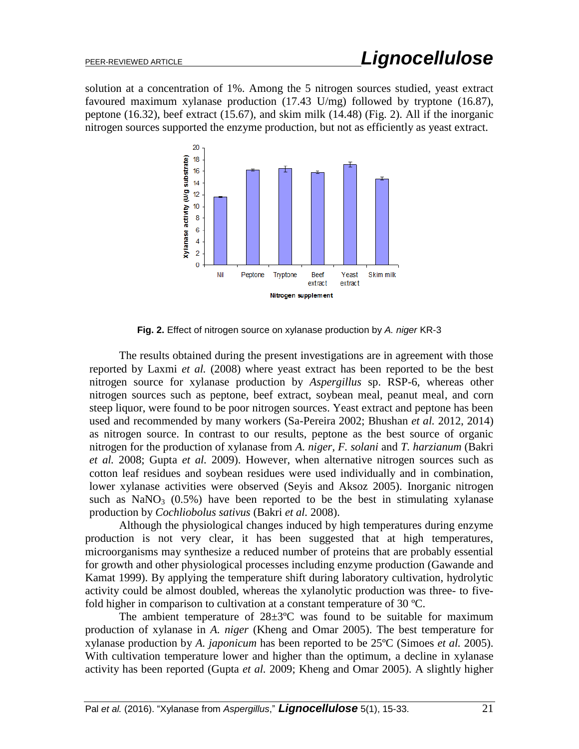solution at a concentration of 1%. Among the 5 nitrogen sources studied, yeast extract favoured maximum xylanase production (17.43 U/mg) followed by tryptone (16.87), peptone (16.32), beef extract (15.67), and skim milk (14.48) (Fig. 2). All if the inorganic nitrogen sources supported the enzyme production, but not as efficiently as yeast extract.



**Fig. 2.** Effect of nitrogen source on xylanase production by *A. niger* KR-3

The results obtained during the present investigations are in agreement with those reported by Laxmi *et al.* (2008) where yeast extract has been reported to be the best nitrogen source for xylanase production by *Aspergillus* sp. RSP-6, whereas other nitrogen sources such as peptone, beef extract, soybean meal, peanut meal, and corn steep liquor, were found to be poor nitrogen sources. Yeast extract and peptone has been used and recommended by many workers (Sa-Pereira 2002; Bhushan *et al.* 2012, 2014) as nitrogen source. In contrast to our results, peptone as the best source of organic nitrogen for the production of xylanase from *A. niger, F. solani* and *T. harzianum* (Bakri *et al.* 2008; Gupta *et al.* 2009). However, when alternative nitrogen sources such as cotton leaf residues and soybean residues were used individually and in combination, lower xylanase activities were observed (Seyis and Aksoz 2005). Inorganic nitrogen such as  $NaNO<sub>3</sub>$  (0.5%) have been reported to be the best in stimulating xylanase production by *Cochliobolus sativus* (Bakri *et al.* 2008).

Although the physiological changes induced by high temperatures during enzyme production is not very clear, it has been suggested that at high temperatures, microorganisms may synthesize a reduced number of proteins that are probably essential for growth and other physiological processes including enzyme production (Gawande and Kamat 1999). By applying the temperature shift during laboratory cultivation, hydrolytic activity could be almost doubled, whereas the xylanolytic production was three- to fivefold higher in comparison to cultivation at a constant temperature of 30 ºC.

The ambient temperature of  $28\pm3$ °C was found to be suitable for maximum production of xylanase in *A. niger* (Kheng and Omar 2005). The best temperature for xylanase production by *A. japonicum* has been reported to be 25ºC (Simoes *et al.* 2005). With cultivation temperature lower and higher than the optimum, a decline in xylanase activity has been reported (Gupta *et al.* 2009; Kheng and Omar 2005). A slightly higher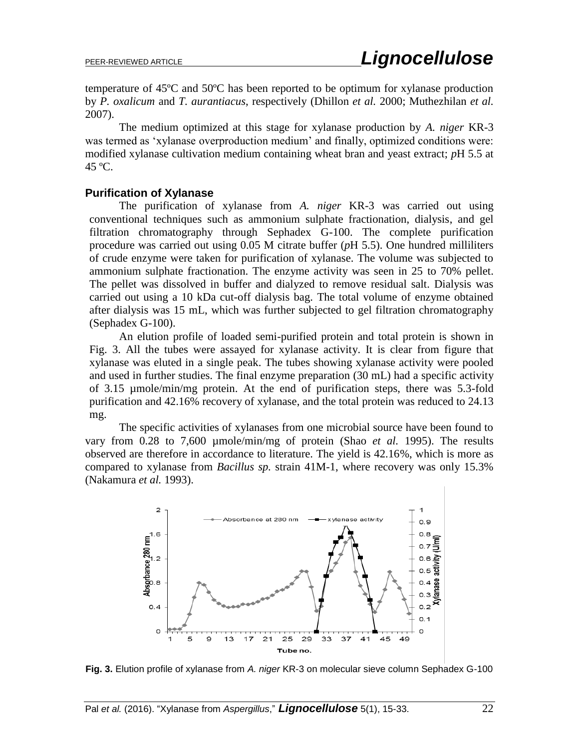temperature of 45ºC and 50ºC has been reported to be optimum for xylanase production by *P. oxalicum* and *T. aurantiacus*, respectively (Dhillon *et al.* 2000; Muthezhilan *et al.* 2007).

The medium optimized at this stage for xylanase production by *A. niger* KR-3 was termed as 'xylanase overproduction medium' and finally, optimized conditions were: modified xylanase cultivation medium containing wheat bran and yeast extract; *p*H 5.5 at 45 ºC.

## **Purification of Xylanase**

The purification of xylanase from *A. niger* KR-3 was carried out using conventional techniques such as ammonium sulphate fractionation, dialysis, and gel filtration chromatography through Sephadex G-100. The complete purification procedure was carried out using 0.05 M citrate buffer (*p*H 5.5). One hundred milliliters of crude enzyme were taken for purification of xylanase. The volume was subjected to ammonium sulphate fractionation. The enzyme activity was seen in 25 to 70% pellet. The pellet was dissolved in buffer and dialyzed to remove residual salt. Dialysis was carried out using a 10 kDa cut-off dialysis bag. The total volume of enzyme obtained after dialysis was 15 mL, which was further subjected to gel filtration chromatography (Sephadex G-100).

An elution profile of loaded semi-purified protein and total protein is shown in Fig. 3. All the tubes were assayed for xylanase activity. It is clear from figure that xylanase was eluted in a single peak. The tubes showing xylanase activity were pooled and used in further studies. The final enzyme preparation (30 mL) had a specific activity of 3.15 µmole/min/mg protein. At the end of purification steps, there was 5.3-fold purification and 42.16% recovery of xylanase, and the total protein was reduced to 24.13 mg.

The specific activities of xylanases from one microbial source have been found to vary from 0.28 to 7,600 µmole/min/mg of protein (Shao *et al.* 1995). The results observed are therefore in accordance to literature. The yield is 42.16%, which is more as compared to xylanase from *Bacillus sp.* strain 41M-1, where recovery was only 15.3% (Nakamura *et al.* 1993).



**Fig. 3.** Elution profile of xylanase from *A. niger* KR-3 on molecular sieve column Sephadex G-100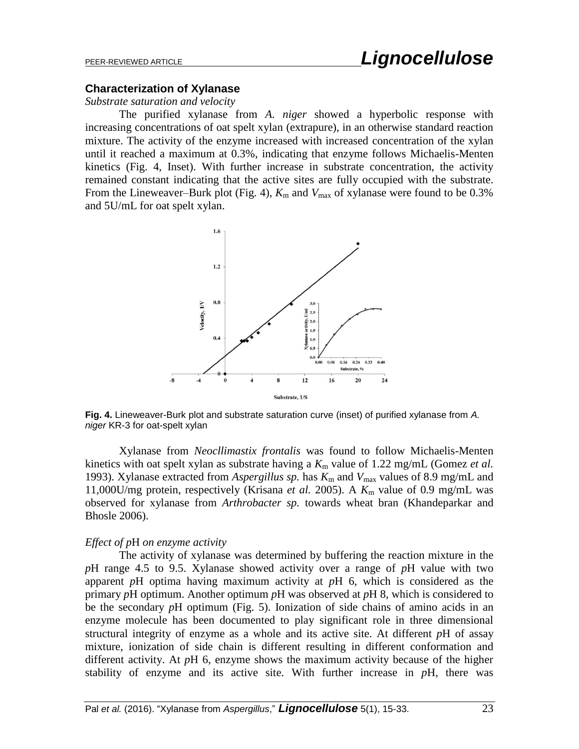## **Characterization of Xylanase**

#### *Substrate saturation and velocity*

The purified xylanase from *A. niger* showed a hyperbolic response with increasing concentrations of oat spelt xylan (extrapure), in an otherwise standard reaction mixture. The activity of the enzyme increased with increased concentration of the xylan until it reached a maximum at 0.3%, indicating that enzyme follows Michaelis-Menten kinetics (Fig. 4, Inset). With further increase in substrate concentration, the activity remained constant indicating that the active sites are fully occupied with the substrate. From the Lineweaver–Burk plot (Fig. 4),  $K_m$  and  $V_{\text{max}}$  of xylanase were found to be 0.3% and 5U/mL for oat spelt xylan.



**Fig. 4.** Lineweaver-Burk plot and substrate saturation curve (inset) of purified xylanase from *A. niger* KR-3 for oat-spelt xylan

Xylanase from *Neocllimastix frontalis* was found to follow Michaelis-Menten kinetics with oat spelt xylan as substrate having a  $K<sub>m</sub>$  value of 1.22 mg/mL (Gomez *et al.*) 1993). Xylanase extracted from *Aspergillus sp*. has  $K_m$  and  $V_{max}$  values of 8.9 mg/mL and 11,000U/mg protein, respectively (Krisana *et al.* 2005). A *K*<sup>m</sup> value of 0.9 mg/mL was observed for xylanase from *Arthrobacter sp.* towards wheat bran (Khandeparkar and Bhosle 2006).

#### *Effect of p*H *on enzyme activity*

The activity of xylanase was determined by buffering the reaction mixture in the *p*H range 4.5 to 9.5. Xylanase showed activity over a range of *p*H value with two apparent *p*H optima having maximum activity at *p*H 6, which is considered as the primary *p*H optimum. Another optimum *p*H was observed at *p*H 8, which is considered to be the secondary *p*H optimum (Fig. 5). Ionization of side chains of amino acids in an enzyme molecule has been documented to play significant role in three dimensional structural integrity of enzyme as a whole and its active site. At different *p*H of assay mixture, ionization of side chain is different resulting in different conformation and different activity. At *p*H 6, enzyme shows the maximum activity because of the higher stability of enzyme and its active site. With further increase in *p*H, there was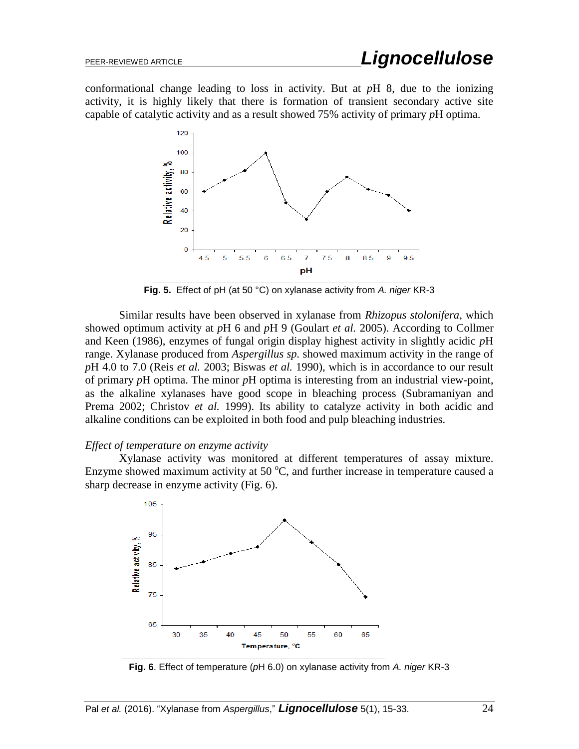conformational change leading to loss in activity. But at *p*H 8, due to the ionizing activity, it is highly likely that there is formation of transient secondary active site capable of catalytic activity and as a result showed 75% activity of primary *p*H optima.



**Fig. 5.** Effect of pH (at 50 °C) on xylanase activity from *A. niger* KR-3

Similar results have been observed in xylanase from *Rhizopus stolonifera*, which showed optimum activity at *p*H 6 and *p*H 9 (Goulart *et al.* 2005). According to Collmer and Keen (1986), enzymes of fungal origin display highest activity in slightly acidic *p*H range. Xylanase produced from *Aspergillus sp.* showed maximum activity in the range of *p*H 4.0 to 7.0 (Reis *et al.* 2003; Biswas *et al.* 1990), which is in accordance to our result of primary *p*H optima. The minor *p*H optima is interesting from an industrial view-point, as the alkaline xylanases have good scope in bleaching process (Subramaniyan and Prema 2002; Christov *et al.* 1999). Its ability to catalyze activity in both acidic and alkaline conditions can be exploited in both food and pulp bleaching industries.

#### *Effect of temperature on enzyme activity*

Xylanase activity was monitored at different temperatures of assay mixture. Enzyme showed maximum activity at 50  $^{\circ}$ C, and further increase in temperature caused a sharp decrease in enzyme activity (Fig. 6).



**Fig. 6**. Effect of temperature (*p*H 6.0) on xylanase activity from *A. niger* KR-3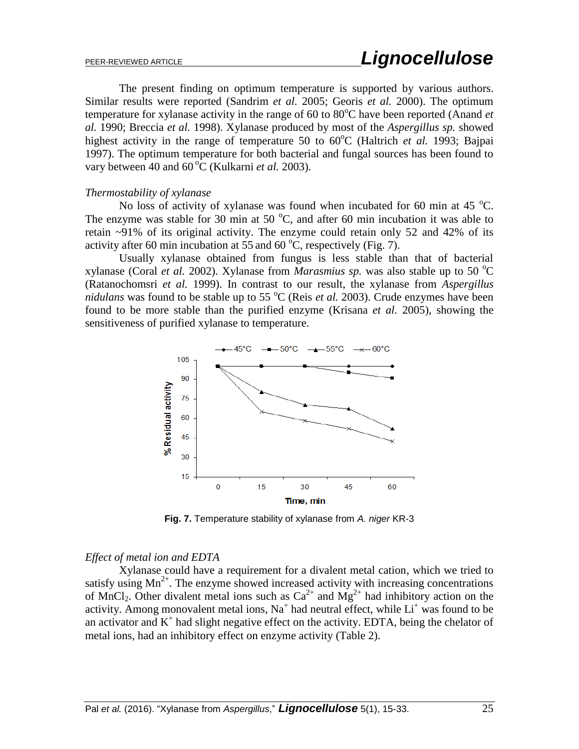The present finding on optimum temperature is supported by various authors. Similar results were reported (Sandrim *et al.* 2005; Georis *et al.* 2000). The optimum temperature for xylanase activity in the range of 60 to 80<sup>o</sup>C have been reported (Anand *et al.* 1990; Breccia *et al.* 1998). Xylanase produced by most of the *Aspergillus sp.* showed highest activity in the range of temperature 50 to  $60^{\circ}$ C (Haltrich *et al.* 1993; Bajpai 1997). The optimum temperature for both bacterial and fungal sources has been found to vary between 40 and 60<sup>°</sup>C (Kulkarni *et al.* 2003).

#### *Thermostability of xylanase*

No loss of activity of xylanase was found when incubated for 60 min at 45  $^{\circ}$ C. The enzyme was stable for 30 min at 50  $^{\circ}$ C, and after 60 min incubation it was able to retain ~91% of its original activity. The enzyme could retain only 52 and 42% of its activity after 60 min incubation at 55 and 60  $^{\circ}$ C, respectively (Fig. 7).

Usually xylanase obtained from fungus is less stable than that of bacterial xylanase (Coral *et al.* 2002). Xylanase from *Marasmius sp.* was also stable up to 50  $^{\circ}$ C (Ratanochomsri *et al.* 1999). In contrast to our result, the xylanase from *Aspergillus nidulans* was found to be stable up to 55  $^{\circ}$ C (Reis *et al.* 2003). Crude enzymes have been found to be more stable than the purified enzyme (Krisana *et al.* 2005), showing the sensitiveness of purified xylanase to temperature.



**Fig. 7.** Temperature stability of xylanase from *A. niger* KR-3

#### *Effect of metal ion and EDTA*

Xylanase could have a requirement for a divalent metal cation, which we tried to satisfy using  $Mn^{2+}$ . The enzyme showed increased activity with increasing concentrations of MnCl<sub>2</sub>. Other divalent metal ions such as  $Ca^{2+}$  and  $Mg^{2+}$  had inhibitory action on the activity. Among monovalent metal ions,  $Na<sup>+</sup>$  had neutral effect, while  $Li<sup>+</sup>$  was found to be an activator and  $K^+$  had slight negative effect on the activity. EDTA, being the chelator of metal ions, had an inhibitory effect on enzyme activity (Table 2).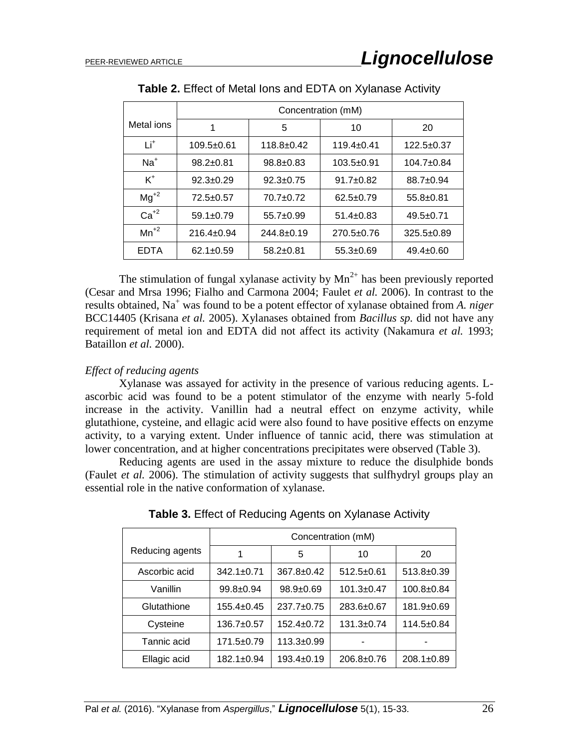|            | Concentration (mM) |                  |                  |                  |
|------------|--------------------|------------------|------------------|------------------|
| Metal ions |                    | 5                | 10               | 20               |
| Τi         | 109.5±0.61         | $118.8 + 0.42$   | $119.4 \pm 0.41$ | $122.5+0.37$     |
| $Na+$      | $98.2 \pm 0.81$    | $98.8 \pm 0.83$  | $103.5 + 0.91$   | $104.7 \pm 0.84$ |
| $K^+$      | $92.3 \pm 0.29$    | $92.3 \pm 0.75$  | $91.7 + 0.82$    | $88.7 \pm 0.94$  |
| $Mg^{+2}$  | $72.5 \pm 0.57$    | $70.7 + 0.72$    | $62.5 \pm 0.79$  | $55.8 \pm 0.81$  |
| $Ca+2$     | $59.1 \pm 0.79$    | $55.7+0.99$      | $51.4 \pm 0.83$  | $49.5 \pm 0.71$  |
| $Mn^{2}$   | $216.4 \pm 0.94$   | $244.8 \pm 0.19$ | $270.5 \pm 0.76$ | $325.5 \pm 0.89$ |
| EDTA       | $62.1 \pm 0.59$    | $58.2 \pm 0.81$  | $55.3 + 0.69$    | $49.4 \pm 0.60$  |

**Table 2.** Effect of Metal Ions and EDTA on Xylanase Activity

The stimulation of fungal xylanase activity by  $Mn^{2+}$  has been previously reported (Cesar and Mrsa 1996; Fialho and Carmona 2004; Faulet *et al.* 2006). In contrast to the results obtained, Na<sup>+</sup> was found to be a potent effector of xylanase obtained from A. niger BCC14405 (Krisana *et al.* 2005). Xylanases obtained from *Bacillus sp.* did not have any requirement of metal ion and EDTA did not affect its activity (Nakamura *et al.* 1993; Bataillon *et al.* 2000).

## *Effect of reducing agents*

Xylanase was assayed for activity in the presence of various reducing agents. Lascorbic acid was found to be a potent stimulator of the enzyme with nearly 5-fold increase in the activity. Vanillin had a neutral effect on enzyme activity, while glutathione, cysteine, and ellagic acid were also found to have positive effects on enzyme activity, to a varying extent. Under influence of tannic acid, there was stimulation at lower concentration, and at higher concentrations precipitates were observed (Table 3).

Reducing agents are used in the assay mixture to reduce the disulphide bonds (Faulet *et al.* 2006). The stimulation of activity suggests that sulfhydryl groups play an essential role in the native conformation of xylanase*.*

|                 | Concentration (mM) |                  |                  |                  |
|-----------------|--------------------|------------------|------------------|------------------|
| Reducing agents |                    | 5                | 10               | 20               |
| Ascorbic acid   | $342.1 + 0.71$     | $367.8 \pm 0.42$ | $512.5 \pm 0.61$ | $513.8 \pm 0.39$ |
| Vanillin        | $99.8 \pm 0.94$    | $98.9 \pm 0.69$  | $101.3 \pm 0.47$ | $100.8 + 0.84$   |
| Glutathione     | $155.4 \pm 0.45$   | $237.7 \pm 0.75$ | $283.6 \pm 0.67$ | 181.9±0.69       |
| Cysteine        | $136.7 \pm 0.57$   | $152.4 \pm 0.72$ | $131.3 \pm 0.74$ | $114.5 \pm 0.84$ |
| Tannic acid     | $171.5 \pm 0.79$   | $113.3 \pm 0.99$ |                  |                  |
| Ellagic acid    | $182.1 \pm 0.94$   | $193.4 \pm 0.19$ | $206.8 \pm 0.76$ | $208.1 \pm 0.89$ |

**Table 3.** Effect of Reducing Agents on Xylanase Activity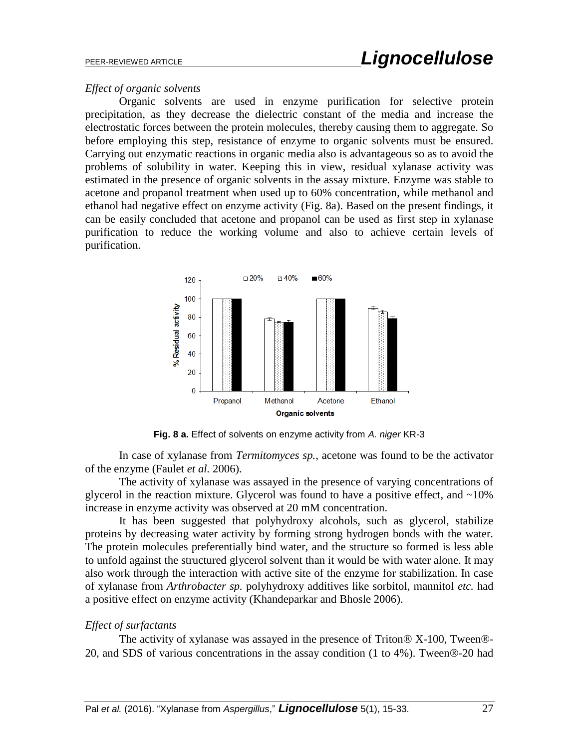## *Effect of organic solvents*

Organic solvents are used in enzyme purification for selective protein precipitation, as they decrease the dielectric constant of the media and increase the electrostatic forces between the protein molecules, thereby causing them to aggregate. So before employing this step, resistance of enzyme to organic solvents must be ensured. Carrying out enzymatic reactions in organic media also is advantageous so as to avoid the problems of solubility in water. Keeping this in view, residual xylanase activity was estimated in the presence of organic solvents in the assay mixture. Enzyme was stable to acetone and propanol treatment when used up to 60% concentration, while methanol and ethanol had negative effect on enzyme activity (Fig. 8a). Based on the present findings, it can be easily concluded that acetone and propanol can be used as first step in xylanase purification to reduce the working volume and also to achieve certain levels of purification.



**Fig. 8 a.** Effect of solvents on enzyme activity from *A. niger* KR-3

In case of xylanase from *Termitomyces sp.*, acetone was found to be the activator of the enzyme (Faulet *et al.* 2006).

The activity of xylanase was assayed in the presence of varying concentrations of glycerol in the reaction mixture. Glycerol was found to have a positive effect, and  $\sim 10\%$ increase in enzyme activity was observed at 20 mM concentration.

It has been suggested that polyhydroxy alcohols, such as glycerol, stabilize proteins by decreasing water activity by forming strong hydrogen bonds with the water. The protein molecules preferentially bind water, and the structure so formed is less able to unfold against the structured glycerol solvent than it would be with water alone. It may also work through the interaction with active site of the enzyme for stabilization. In case of xylanase from *Arthrobacter sp.* polyhydroxy additives like sorbitol, mannitol *etc.* had a positive effect on enzyme activity (Khandeparkar and Bhosle 2006).

# *Effect of surfactants*

The activity of xylanase was assayed in the presence of Triton  $\&$  X-100, Tween  $\&$ -20, and SDS of various concentrations in the assay condition (1 to 4%). Tween®-20 had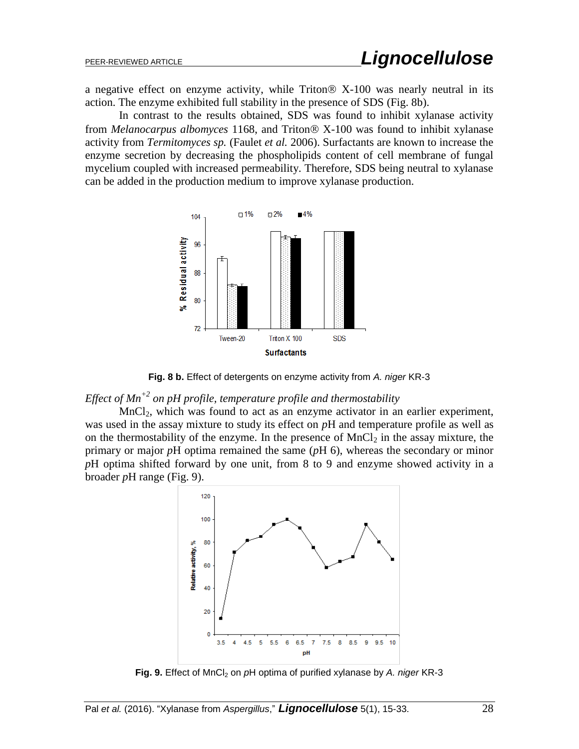a negative effect on enzyme activity, while Triton  $\&$  X-100 was nearly neutral in its action. The enzyme exhibited full stability in the presence of SDS (Fig. 8b).

In contrast to the results obtained, SDS was found to inhibit xylanase activity from *Melanocarpus albomyces* 1168, and Triton<sup>®</sup> X-100 was found to inhibit xylanase activity from *Termitomyces sp.* (Faulet *et al.* 2006). Surfactants are known to increase the enzyme secretion by decreasing the phospholipids content of cell membrane of fungal mycelium coupled with increased permeability. Therefore, SDS being neutral to xylanase can be added in the production medium to improve xylanase production.



**Fig. 8 b.** Effect of detergents on enzyme activity from *A. niger* KR-3

*Effect of Mn+2 on pH profile, temperature profile and thermostability*

 $MnCl<sub>2</sub>$ , which was found to act as an enzyme activator in an earlier experiment, was used in the assay mixture to study its effect on *p*H and temperature profile as well as on the thermostability of the enzyme. In the presence of  $MnCl<sub>2</sub>$  in the assay mixture, the primary or major *p*H optima remained the same (*p*H 6), whereas the secondary or minor *p*H optima shifted forward by one unit, from 8 to 9 and enzyme showed activity in a broader *p*H range (Fig. 9).



**Fig. 9.** Effect of MnCl<sub>2</sub> on pH optima of purified xylanase by A. niger KR-3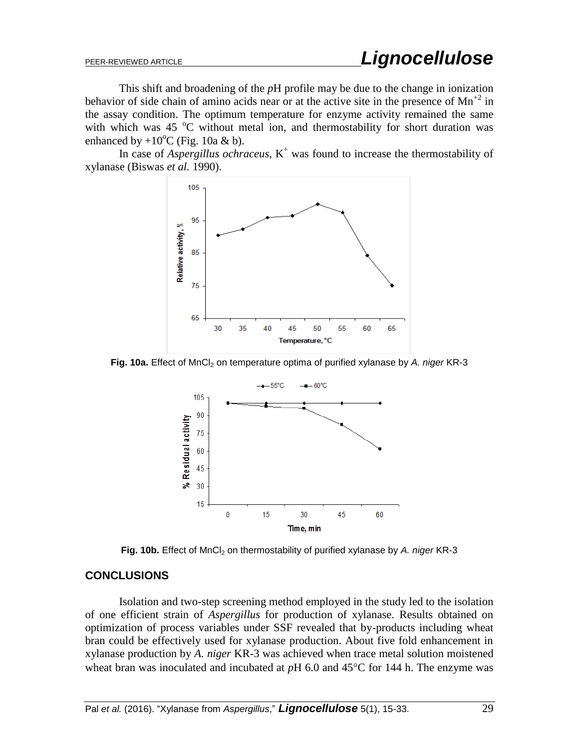This shift and broadening of the *p*H profile may be due to the change in ionization behavior of side chain of amino acids near or at the active site in the presence of  $Mn^{2}$  in the assay condition. The optimum temperature for enzyme activity remained the same with which was 45  $\degree$ C without metal ion, and thermostability for short duration was enhanced by  $+10^{\circ}$ C (Fig. 10a & b).

In case of *Aspergillus ochraceus*,  $K^+$  was found to increase the thermostability of xylanase (Biswas *et al.* 1990).



**Fig. 10a.** Effect of MnCl<sub>2</sub> on temperature optima of purified xylanase by *A. niger* KR-3



Fig. 10b. Effect of MnCl<sub>2</sub> on thermostability of purified xylanase by A. niger KR-3

## **CONCLUSIONS**

Isolation and two-step screening method employed in the study led to the isolation of one efficient strain of *Aspergillus* for production of xylanase. Results obtained on optimization of process variables under SSF revealed that by-products including wheat bran could be effectively used for xylanase production. About five fold enhancement in xylanase production by *A. niger* KR-3 was achieved when trace metal solution moistened wheat bran was inoculated and incubated at  $pH$  6.0 and 45 $\degree$ C for 144 h. The enzyme was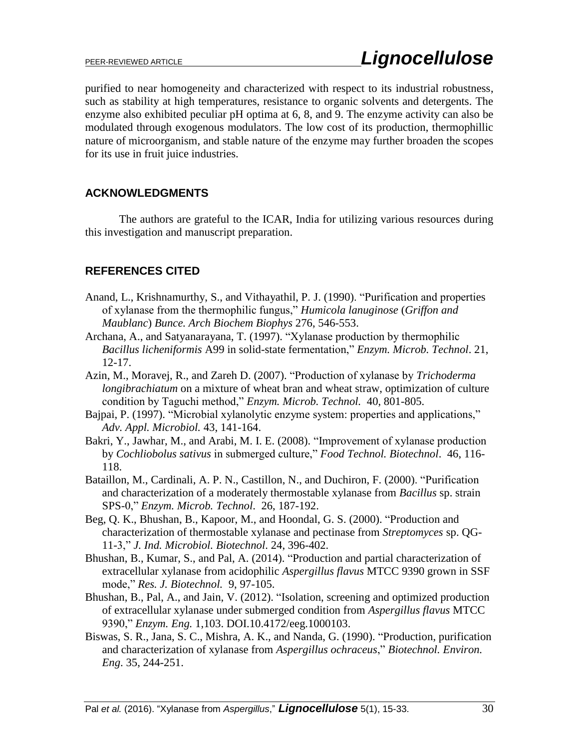purified to near homogeneity and characterized with respect to its industrial robustness, such as stability at high temperatures, resistance to organic solvents and detergents. The enzyme also exhibited peculiar pH optima at 6, 8, and 9. The enzyme activity can also be modulated through exogenous modulators. The low cost of its production, thermophillic nature of microorganism, and stable nature of the enzyme may further broaden the scopes for its use in fruit juice industries.

# **ACKNOWLEDGMENTS**

The authors are grateful to the ICAR, India for utilizing various resources during this investigation and manuscript preparation.

# **REFERENCES CITED**

- Anand, L., Krishnamurthy, S., and Vithayathil, P. J. (1990). "Purification and properties of xylanase from the thermophilic fungus," *Humicola lanuginose* (*Griffon and Maublanc*) *Bunce. Arch Biochem Biophys* 276, 546-553.
- Archana, A., and Satyanarayana, T. (1997). "Xylanase production by thermophilic *Bacillus licheniformis* A99 in solid-state fermentation," *Enzym. Microb. Technol*. 21, 12-17.
- Azin, M., Moravej, R., and Zareh D. (2007). "Production of xylanase by *Trichoderma longibrachiatum* on a mixture of wheat bran and wheat straw, optimization of culture condition by Taguchi method," *Enzym. Microb. Technol.* 40, 801-805.
- Bajpai, P. (1997). "Microbial xylanolytic enzyme system: properties and applications," *Adv. Appl. Microbiol.* 43, 141-164.
- Bakri, Y., Jawhar, M., and Arabi, M. I. E. (2008). "Improvement of xylanase production by *Cochliobolus sativus* in submerged culture," *Food Technol. Biotechnol*. 46, 116- 118.
- Bataillon, M., Cardinali, A. P. N., Castillon, N., and Duchiron, F. (2000). "Purification and characterization of a moderately thermostable xylanase from *Bacillus* sp. strain SPS-0," *Enzym. Microb. Technol*. 26, 187-192.
- Beg, Q. K., Bhushan, B., Kapoor, M., and Hoondal, G. S. (2000). "Production and characterization of thermostable xylanase and pectinase from *Streptomyces* sp. QG-11-3," *J. Ind. Microbiol. Biotechnol*. 24, 396-402.
- Bhushan, B., Kumar, S., and Pal, A. (2014). "Production and partial characterization of extracellular xylanase from acidophilic *Aspergillus flavus* MTCC 9390 grown in SSF mode," *Res. J. Biotechnol.* 9, 97-105.
- Bhushan, B., Pal, A., and Jain, V. (2012). "Isolation, screening and optimized production of extracellular xylanase under submerged condition from *Aspergillus flavus* MTCC 9390," *Enzym. Eng.* 1,103. DOI.10.4172/eeg.1000103.
- Biswas, S. R., Jana, S. C., Mishra, A. K., and Nanda, G. (1990). "Production, purification and characterization of xylanase from *Aspergillus ochraceus*," *Biotechnol. Environ. Eng*. 35, 244-251.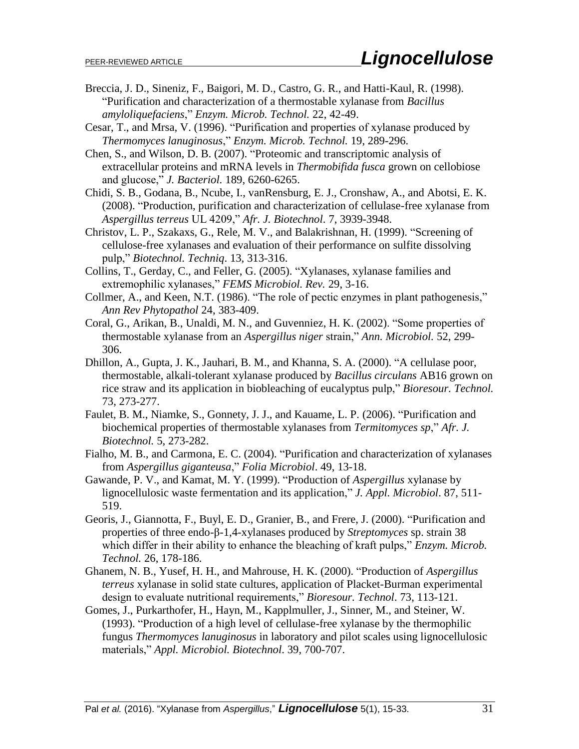- Breccia, J. D., Sineniz, F., Baigori, M. D., Castro, G. R., and Hatti-Kaul, R. (1998). "Purification and characterization of a thermostable xylanase from *Bacillus amyloliquefaciens*," *Enzym. Microb. Technol.* 22, 42-49.
- Cesar, T., and Mrsa, V. (1996). "Purification and properties of xylanase produced by *Thermomyces lanuginosus*," *Enzym. Microb. Technol.* 19, 289-296.
- Chen, S., and Wilson, D. B. (2007). "Proteomic and transcriptomic analysis of extracellular proteins and mRNA levels in *Thermobifida fusca* grown on cellobiose and glucose," *J. Bacteriol.* 189, 6260-6265.
- Chidi, S. B., Godana, B., Ncube, I., vanRensburg, E. J., Cronshaw, A., and Abotsi, E. K. (2008). "Production, purification and characterization of cellulase-free xylanase from *Aspergillus terreus* UL 4209," *Afr. J. Biotechnol*. 7, 3939-3948.
- Christov, L. P., Szakaxs, G., Rele, M. V., and Balakrishnan, H. (1999). "Screening of cellulose-free xylanases and evaluation of their performance on sulfite dissolving pulp," *Biotechnol. Techniq*. 13, 313-316.
- Collins, T., Gerday, C., and Feller, G. (2005). "Xylanases, xylanase families and extremophilic xylanases," *FEMS Microbiol. Rev.* 29, 3-16.
- Collmer, A., and Keen, N.T. (1986). "The role of pectic enzymes in plant pathogenesis," *Ann Rev Phytopathol* 24, 383-409.
- Coral, G., Arikan, B., Unaldi, M. N., and Guvenniez, H. K. (2002). "Some properties of thermostable xylanase from an *Aspergillus niger* strain," *Ann. Microbiol.* 52, 299- 306.
- Dhillon, A., Gupta, J. K., Jauhari, B. M., and Khanna, S. A. (2000). "A cellulase poor, thermostable, alkali-tolerant xylanase produced by *Bacillus circulans* AB16 grown on rice straw and its application in biobleaching of eucalyptus pulp," *Bioresour. Technol.* 73, 273-277.
- Faulet, B. M., Niamke, S., Gonnety, J. J., and Kauame, L. P. (2006). "Purification and biochemical properties of thermostable xylanases from *Termitomyces sp*," *Afr. J. Biotechnol.* 5, 273-282.
- Fialho, M. B., and Carmona, E. C. (2004). "Purification and characterization of xylanases from *Aspergillus giganteusa*," *Folia Microbiol*. 49, 13-18.
- Gawande, P. V., and Kamat, M. Y. (1999). "Production of *Aspergillus* xylanase by lignocellulosic waste fermentation and its application," *J. Appl. Microbiol*. 87, 511- 519.
- Georis, J., Giannotta, F., Buyl, E. D., Granier, B., and Frere, J. (2000). "Purification and properties of three endo-β-1,4-xylanases produced by *Streptomyces* sp. strain 38 which differ in their ability to enhance the bleaching of kraft pulps," *Enzym. Microb. Technol.* 26, 178-186.
- Ghanem, N. B., Yusef, H. H., and Mahrouse, H. K. (2000). "Production of *Aspergillus terreus* xylanase in solid state cultures, application of Placket-Burman experimental design to evaluate nutritional requirements," *Bioresour. Technol*. 73, 113-121.
- Gomes, J., Purkarthofer, H., Hayn, M., Kapplmuller, J., Sinner, M., and Steiner, W. (1993). "Production of a high level of cellulase-free xylanase by the thermophilic fungus *Thermomyces lanuginosus* in laboratory and pilot scales using lignocellulosic materials," *Appl. Microbiol. Biotechnol*. 39, 700-707.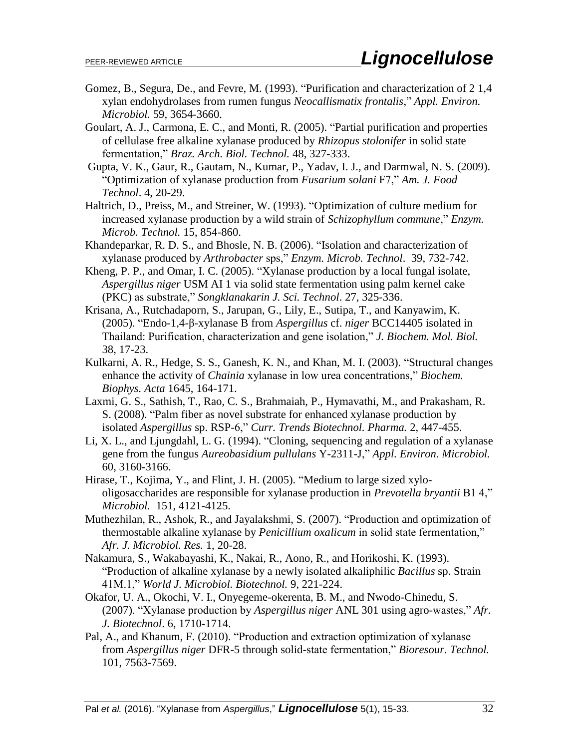- Gomez, B., Segura, De., and Fevre, M. (1993). "Purification and characterization of 2 1,4 xylan endohydrolases from rumen fungus *Neocallismatix frontalis*," *Appl. Environ. Microbiol.* 59, 3654-3660.
- Goulart, A. J., Carmona, E. C., and Monti, R. (2005). "Partial purification and properties of cellulase free alkaline xylanase produced by *Rhizopus stolonifer* in solid state fermentation," *Braz. Arch. Biol. Technol.* 48, 327-333.
- Gupta, V. K., Gaur, R., Gautam, N., Kumar, P., Yadav, I. J., and Darmwal, N. S. (2009). "Optimization of xylanase production from *Fusarium solani* F7," *Am. J. Food Technol*. 4, 20-29.
- Haltrich, D., Preiss, M., and Streiner, W. (1993). "Optimization of culture medium for increased xylanase production by a wild strain of *Schizophyllum commune*," *Enzym. Microb. Technol.* 15, 854-860.
- Khandeparkar, R. D. S., and Bhosle, N. B. (2006). "Isolation and characterization of xylanase produced by *Arthrobacter* sps," *Enzym. Microb. Technol*. 39, 732-742.
- Kheng, P. P., and Omar, I. C. (2005). "Xylanase production by a local fungal isolate, *Aspergillus niger* USM AI 1 via solid state fermentation using palm kernel cake (PKC) as substrate," *Songklanakarin J. Sci. Technol*. 27, 325-336.
- Krisana, A., Rutchadaporn, S., Jarupan, G., Lily, E., Sutipa, T., and Kanyawim, K. (2005). "Endo-1,4-β-xylanase B from *Aspergillus* cf. *niger* BCC14405 isolated in Thailand: Purification, characterization and gene isolation," *J. Biochem. Mol. Biol.* 38, 17-23.
- Kulkarni, A. R., Hedge, S. S., Ganesh, K. N., and Khan, M. I. (2003). "Structural changes enhance the activity of *Chainia* xylanase in low urea concentrations," *Biochem. Biophys. Acta* 1645, 164-171.
- Laxmi, G. S., Sathish, T., Rao, C. S., Brahmaiah, P., Hymavathi, M., and Prakasham, R. S. (2008). "Palm fiber as novel substrate for enhanced xylanase production by isolated *Aspergillus* sp. RSP-6," *Curr. Trends Biotechnol. Pharma.* 2, 447-455.
- Li, X. L., and Ljungdahl, L. G. (1994). "Cloning, sequencing and regulation of a xylanase gene from the fungus *Aureobasidium pullulans* Y-2311-J," *Appl. Environ. Microbiol.*  60, 3160-3166.
- Hirase, T., Kojima, Y., and Flint, J. H. (2005). "Medium to large sized xylooligosaccharides are responsible for xylanase production in *Prevotella bryantii* B1 4," *Microbiol.* 151, 4121-4125.
- Muthezhilan, R., Ashok, R., and Jayalakshmi, S. (2007). "Production and optimization of thermostable alkaline xylanase by *Penicillium oxalicum* in solid state fermentation," *Afr. J. Microbiol. Res.* 1, 20-28.
- Nakamura, S., Wakabayashi, K., Nakai, R., Aono, R., and Horikoshi, K. (1993). "Production of alkaline xylanase by a newly isolated alkaliphilic *Bacillus* sp. Strain 41M.1," *World J. Microbiol. Biotechnol.* 9, 221-224.
- Okafor, U. A., Okochi, V. I., Onyegeme-okerenta, B. M., and Nwodo-Chinedu, S. (2007). "Xylanase production by *Aspergillus niger* ANL 301 using agro-wastes," *Afr. J. Biotechnol*. 6, 1710-1714.
- Pal, A., and Khanum, F. (2010). "Production and extraction optimization of xylanase from *Aspergillus niger* DFR-5 through solid-state fermentation," *Bioresour. Technol.* 101, 7563-7569.